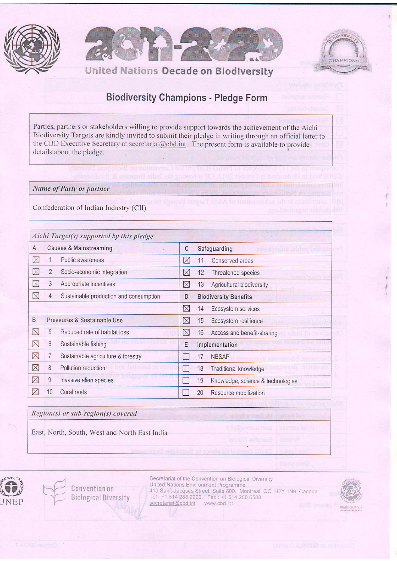





## **Biodiversity Champions - Pledge Form**

Parties, partners or stakeholders willing to provide support towards the achievement of the Aichi Biodiversity Targets are kindly invited to submit their pledge in writing through an official letter to the CBD Executive Secretary at secretariat@cbd.int. The present form is available to provide details about the pledge.

Name of Party or partner

Confederation of Indian Industry (CII)

|             | Aichi Target(s) supported by this pledge                 |                                                         |  |  |  |
|-------------|----------------------------------------------------------|---------------------------------------------------------|--|--|--|
| A           | <b>Causes &amp; Mainstreaming</b>                        | С<br>Safeguarding<br>2986 2019 189 21 0 0 0 0 0 0 0 238 |  |  |  |
| $\boxtimes$ | Public awareness                                         | $\times$<br>11<br>Conserved areas                       |  |  |  |
| $\boxtimes$ | $\overline{2}$<br>Socio-economic integration             | ⊠<br>12<br>Threatened species                           |  |  |  |
| $\boxtimes$ | 3<br>Appropriate incentives                              | $\boxtimes$<br>13<br>Agricultural biodiversity          |  |  |  |
| $\boxtimes$ | Sustainable production and consumption<br>$\overline{4}$ | <b>Biodiversity Benefits</b><br>D                       |  |  |  |
|             |                                                          | $\boxtimes$<br>14<br>Ecosystem services                 |  |  |  |
| B           | Pressures & Sustainable Use                              | $\boxtimes$<br>15<br>Ecosystem resilience               |  |  |  |
| $\boxtimes$ | 5<br>Reduced rate of habitat loss                        | $\boxtimes$<br>16<br>Access and benefit-sharing         |  |  |  |
| $\boxtimes$ | $6\phantom{.}6$<br>Sustainable fishing                   | Ε<br>Implementation                                     |  |  |  |
| $\boxtimes$ | Sustainable agriculture & forestry                       | 17<br><b>NBSAP</b>                                      |  |  |  |
| $\boxtimes$ | 8<br>Pollution reduction                                 | 18<br>Traditional knowledge<br>$\left\{ \right\}$       |  |  |  |
| $\boxtimes$ | 9<br>Invasive alien species                              | 19<br>Knowledge, science & technologies                 |  |  |  |
| $\boxtimes$ | 10<br>Coral reefs                                        | 20<br>Resource mobilization                             |  |  |  |

Region(s) or sub-region(s) covered

East, North, South, West and North East India



Convention on **Biological Diversity** 

Secretariat of the Convention on Biological Diversity United Nations Environment Programme 413 Saint-Jacques Street, Suite 800, Montreal, QC, H2Y 1N9, Canada<br>Tel: +1 514 288 2220, Fax: +1 514 288 6588 secretariat@cbd.int www.cbd.int